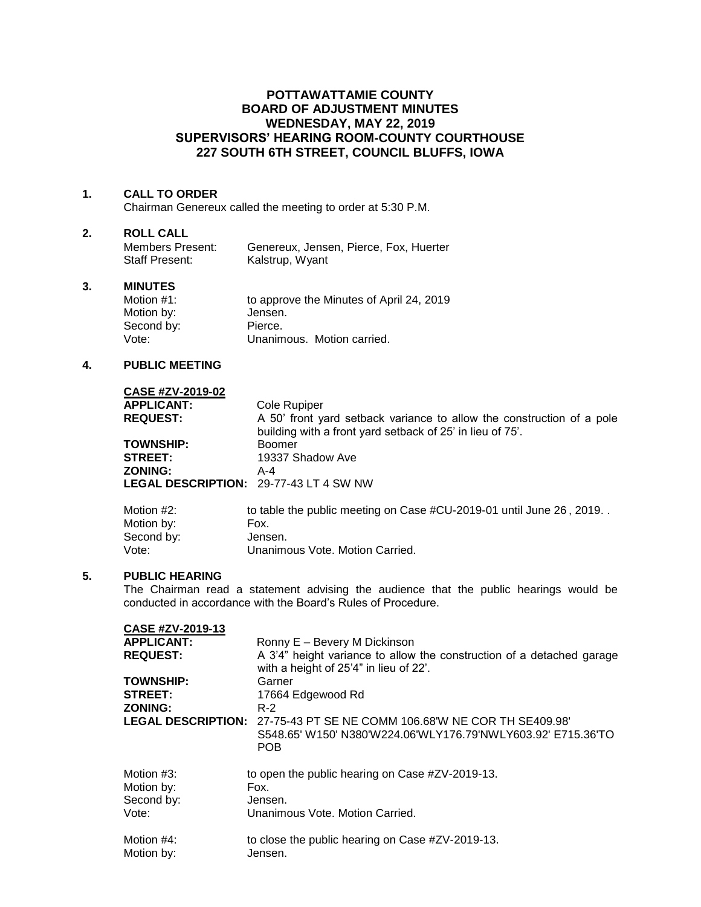# **POTTAWATTAMIE COUNTY BOARD OF ADJUSTMENT MINUTES WEDNESDAY, MAY 22, 2019 SUPERVISORS' HEARING ROOM-COUNTY COURTHOUSE 227 SOUTH 6TH STREET, COUNCIL BLUFFS, IOWA**

### **1. CALL TO ORDER**

Chairman Genereux called the meeting to order at 5:30 P.M.

#### **2. ROLL CALL**

| Members Present: | Genereux, Jensen, Pierce, Fox, Huerter |
|------------------|----------------------------------------|
| Staff Present:   | Kalstrup, Wyant                        |

## **3. MINUTES**

| Motion $#1$ : | to approve the Minutes of April 24, 2019 |
|---------------|------------------------------------------|
| Motion by:    | Jensen.                                  |
| Second by:    | Pierce.                                  |
| Vote:         | Unanimous. Motion carried.               |

### **4. PUBLIC MEETING**

| CASE #ZV-2019-02  |                                                                                                                                    |
|-------------------|------------------------------------------------------------------------------------------------------------------------------------|
| <b>APPLICANT:</b> | Cole Rupiper                                                                                                                       |
| <b>REQUEST:</b>   | A 50' front yard setback variance to allow the construction of a pole<br>building with a front yard setback of 25' in lieu of 75'. |
| <b>TOWNSHIP:</b>  | Boomer                                                                                                                             |
| <b>STREET:</b>    | 19337 Shadow Ave                                                                                                                   |
| <b>ZONING:</b>    | $A - 4$                                                                                                                            |
|                   | <b>LEGAL DESCRIPTION: 29-77-43 LT 4 SW NW</b>                                                                                      |
| Motion #2:        | to table the public meeting on Case #CU-2019-01 until June 26, 2019. .                                                             |

| Motion #2: | to table the public meeting on Case #CU-2019-01 until June 26, 2019. |
|------------|----------------------------------------------------------------------|
| Motion by: | Fox.                                                                 |
| Second by: | Jensen.                                                              |
| Vote:      | Unanimous Vote, Motion Carried.                                      |
|            |                                                                      |

### **5. PUBLIC HEARING**

The Chairman read a statement advising the audience that the public hearings would be conducted in accordance with the Board's Rules of Procedure.

| CASE #ZV-2019-13  |                                                                        |
|-------------------|------------------------------------------------------------------------|
| <b>APPLICANT:</b> | Ronny E - Bevery M Dickinson                                           |
| <b>REQUEST:</b>   | A 3'4" height variance to allow the construction of a detached garage  |
|                   | with a height of 25'4" in lieu of 22'.                                 |
| <b>TOWNSHIP:</b>  | Garner                                                                 |
| <b>STREET:</b>    | 17664 Edgewood Rd                                                      |
| <b>ZONING:</b>    | $R-2$                                                                  |
|                   | LEGAL DESCRIPTION: 27-75-43 PT SE NE COMM 106.68'W NE COR TH SE409.98' |
|                   | S548.65' W150' N380'W224.06'WLY176.79'NWLY603.92' E715.36'TO           |
|                   | <b>POB</b>                                                             |
| Motion #3:        | to open the public hearing on Case #ZV-2019-13.                        |
| Motion by:        | Fox.                                                                   |
| Second by:        | Jensen.                                                                |
| Vote:             | Unanimous Vote, Motion Carried.                                        |
| Motion #4:        | to close the public hearing on Case #ZV-2019-13.                       |
| Motion by:        | Jensen.                                                                |